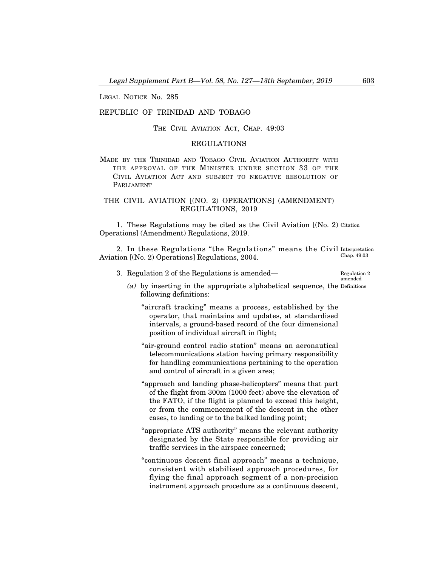LEGAL NOTICE No. 285

# REPUBLIC OF TRINIDAD AND TOBAGO

THE CIVIL AVIATION ACT, CHAP. 49:03

# REGULATIONS

MADE BY THE TRINIDAD AND TOBAGO CIVIL AVIATION AUTHORITY WITH THE APPROVAL OF THE MINISTER UNDER SECTION 33 OF THE CIVIL AVIATION ACT AND SUBJECT TO NEGATIVE RESOLUTION OF PARLIAMENT

# THE CIVIL AVIATION [(NO. 2) OPERATIONS] (AMENDMENT) REGULATIONS, 2019

1. These Regulations may be cited as the Civil Aviation [(No. 2) Citation Operations] (Amendment) Regulations, 2019.

2. In these Regulations "the Regulations" means the Civil Interpretation Aviation [(No. 2) Operations] Regulations, 2004. Chap. 49:03

3. Regulation 2 of the Regulations is amended– Regulation 2

amended

- (a) by inserting in the appropriate alphabetical sequence, the Definitionsfollowing definitions:
	- "aircraft tracking" means a process, established by the operator, that maintains and updates, at standardised intervals, a ground-based record of the four dimensional position of individual aircraft in flight;
	- "air-ground control radio station" means an aeronautical telecommunications station having primary responsibility for handling communications pertaining to the operation and control of aircraft in a given area;
	- "approach and landing phase-helicopters" means that part of the flight from 300m (1000 feet) above the elevation of the FATO, if the flight is planned to exceed this height, or from the commencement of the descent in the other cases, to landing or to the balked landing point;
	- "appropriate ATS authority" means the relevant authority designated by the State responsible for providing air traffic services in the airspace concerned;
	- "continuous descent final approach" means a technique, consistent with stabilised approach procedures, for flying the final approach segment of a non-precision instrument approach procedure as a continuous descent,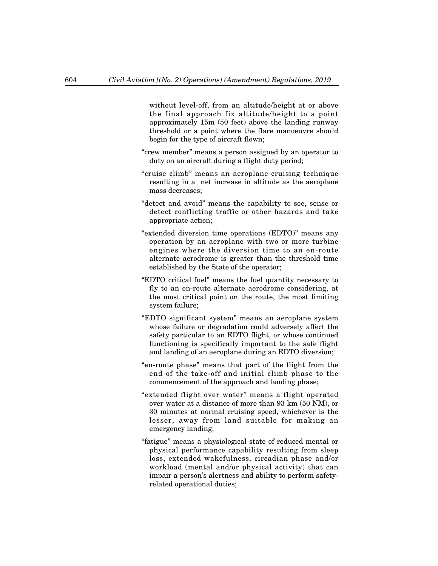without level-off, from an altitude/height at or above the final approach fix altitude/height to a point approximately 15m (50 feet) above the landing runway threshold or a point where the flare manoeuvre should begin for the type of aircraft flown;

- "crew member" means a person assigned by an operator to duty on an aircraft during a flight duty period;
- "cruise climb" means an aeroplane cruising technique resulting in a net increase in altitude as the aeroplane mass decreases;
- "detect and avoid" means the capability to see, sense or detect conflicting traffic or other hazards and take appropriate action;
- "extended diversion time operations (EDTO)" means any operation by an aeroplane with two or more turbine engines where the diversion time to an en-route alternate aerodrome is greater than the threshold time established by the State of the operator;
- "EDTO critical fuel" means the fuel quantity necessary to fly to an en-route alternate aerodrome considering, at the most critical point on the route, the most limiting system failure;
- "EDTO significant system" means an aeroplane system whose failure or degradation could adversely affect the safety particular to an EDTO flight, or whose continued functioning is specifically important to the safe flight and landing of an aeroplane during an EDTO diversion;
- "en-route phase" means that part of the flight from the end of the take-off and initial climb phase to the commencement of the approach and landing phase;
- "extended flight over water" means a flight operated over water at a distance of more than 93 km (50 NM), or 30 minutes at normal cruising speed, whichever is the lesser, away from land suitable for making an emergency landing;
- "fatigue" means a physiological state of reduced mental or physical performance capability resulting from sleep loss, extended wakefulness, circadian phase and/or workload (mental and/or physical activity) that can impair a person's alertness and ability to perform safetyrelated operational duties;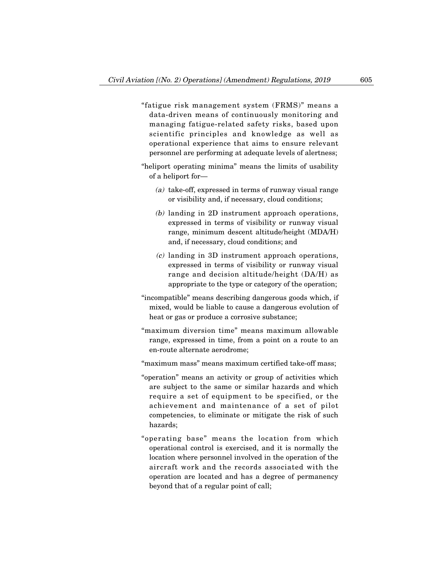- "fatigue risk management system (FRMS)" means a data-driven means of continuously monitoring and managing fatigue-related safety risks, based upon scientific principles and knowledge as well as operational experience that aims to ensure relevant personnel are performing at adequate levels of alertness;
- "heliport operating minima" means the limits of usability of a heliport for–
	- (a) take-off, expressed in terms of runway visual range or visibility and, if necessary, cloud conditions;
	- (b) landing in 2D instrument approach operations, expressed in terms of visibility or runway visual range, minimum descent altitude/height (MDA/H) and, if necessary, cloud conditions; and
	- (c) landing in 3D instrument approach operations, expressed in terms of visibility or runway visual range and decision altitude/height (DA/H) as appropriate to the type or category of the operation;
- "incompatible" means describing dangerous goods which, if mixed, would be liable to cause a dangerous evolution of heat or gas or produce a corrosive substance;
- "maximum diversion time" means maximum allowable range, expressed in time, from a point on a route to an en-route alternate aerodrome;
- "maximum mass" means maximum certified take-off mass;
- "operation" means an activity or group of activities which are subject to the same or similar hazards and which require a set of equipment to be specified, or the achievement and maintenance of a set of pilot competencies, to eliminate or mitigate the risk of such hazards;
- "operating base" means the location from which operational control is exercised, and it is normally the location where personnel involved in the operation of the aircraft work and the records associated with the operation are located and has a degree of permanency beyond that of a regular point of call;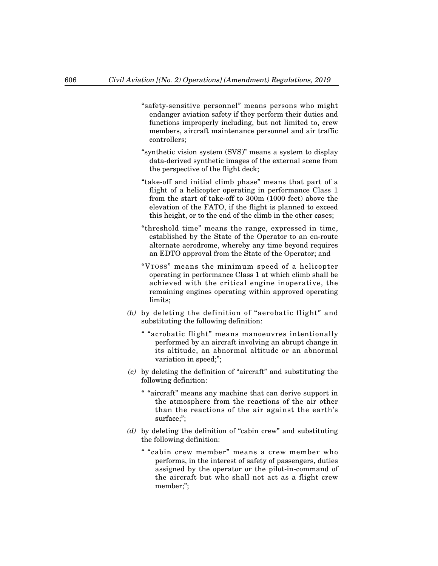- "safety-sensitive personnel" means persons who might endanger aviation safety if they perform their duties and functions improperly including, but not limited to, crew members, aircraft maintenance personnel and air traffic controllers;
- "synthetic vision system (SVS)" means a system to display data-derived synthetic images of the external scene from the perspective of the flight deck;
- "take-off and initial climb phase" means that part of a flight of a helicopter operating in performance Class 1 from the start of take-off to 300m (1000 feet) above the elevation of the FATO, if the flight is planned to exceed this height, or to the end of the climb in the other cases;
- "threshold time" means the range, expressed in time, established by the State of the Operator to an en-route alternate aerodrome, whereby any time beyond requires an EDTO approval from the State of the Operator; and
- "VTOSS" means the minimum speed of a helicopter operating in performance Class 1 at which climb shall be achieved with the critical engine inoperative, the remaining engines operating within approved operating limits;
- (b) by deleting the definition of "aerobatic flight" and substituting the following definition:
	- " "acrobatic flight" means manoeuvres intentionally performed by an aircraft involving an abrupt change in its altitude, an abnormal altitude or an abnormal variation in speed;";
- (c) by deleting the definition of "aircraft" and substituting the following definition:
	- " "aircraft" means any machine that can derive support in the atmosphere from the reactions of the air other than the reactions of the air against the earth's surface;";
- (d) by deleting the definition of "cabin crew" and substituting the following definition:
	- " "cabin crew member" means a crew member who performs, in the interest of safety of passengers, duties assigned by the operator or the pilot-in-command of the aircraft but who shall not act as a flight crew member;";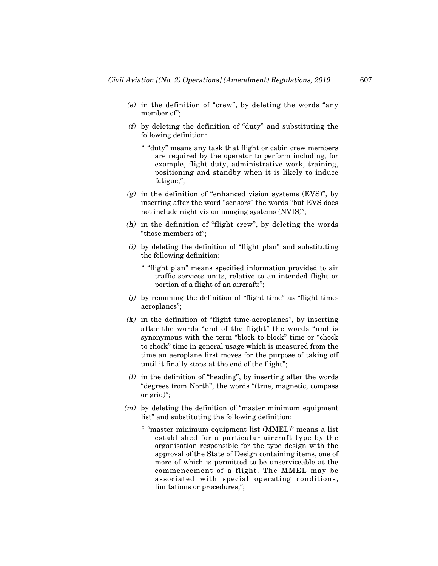- (e) in the definition of "crew", by deleting the words "any member of";
- (f) by deleting the definition of "duty" and substituting the following definition:
	- " "duty" means any task that flight or cabin crew members are required by the operator to perform including, for example, flight duty, administrative work, training, positioning and standby when it is likely to induce fatigue;";
- $(g)$  in the definition of "enhanced vision systems (EVS)", by inserting after the word "sensors" the words "but EVS does not include night vision imaging systems (NVIS)";
- (h) in the definition of "flight crew", by deleting the words "those members of";
- (i) by deleting the definition of "flight plan" and substituting the following definition:
	- " "flight plan" means specified information provided to air traffic services units, relative to an intended flight or portion of a flight of an aircraft;";
- $(i)$  by renaming the definition of "flight time" as "flight timeaeroplanes";
- $(k)$  in the definition of "flight time-aeroplanes", by inserting after the words "end of the flight" the words "and is synonymous with the term "block to block" time or "chock to chock" time in general usage which is measured from the time an aeroplane first moves for the purpose of taking off until it finally stops at the end of the flight";
- (l) in the definition of "heading", by inserting after the words "degrees from North", the words "(true, magnetic, compass or grid)";
- (m) by deleting the definition of "master minimum equipment list" and substituting the following definition:
	- " "master minimum equipment list (MMEL)" means a list established for a particular aircraft type by the organisation responsible for the type design with the approval of the State of Design containing items, one of more of which is permitted to be unserviceable at the commencement of a flight. The MMEL may be associated with special operating conditions, limitations or procedures;";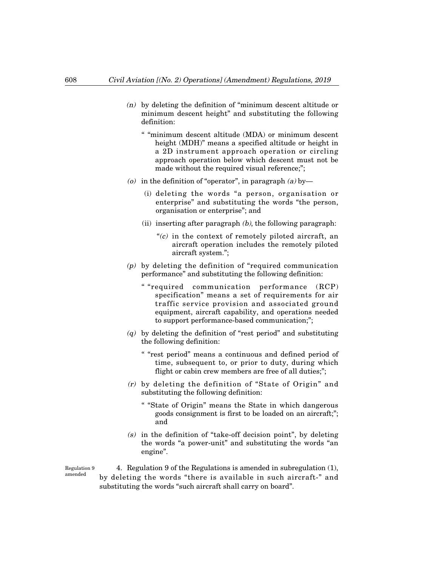- (n) by deleting the definition of "minimum descent altitude or minimum descent height" and substituting the following definition:
	- " "minimum descent altitude (MDA) or minimum descent height (MDH)" means a specified altitude or height in a 2D instrument approach operation or circling approach operation below which descent must not be made without the required visual reference;";
- (o) in the definition of "operator", in paragraph  $(a)$  by-
	- (i) deleting the words "a person, organisation or enterprise" and substituting the words "the person, organisation or enterprise"; and
	- (ii) inserting after paragraph  $(b)$ , the following paragraph:
		- " $(c)$  in the context of remotely piloted aircraft, an aircraft operation includes the remotely piloted aircraft system.";
- (p) by deleting the definition of "required communication performance" and substituting the following definition:
	- " "required communication performance (RCP) specification" means a set of requirements for air traffic service provision and associated ground equipment, aircraft capability, and operations needed to support performance-based communication;";
- $(q)$  by deleting the definition of "rest period" and substituting the following definition:
	- " "rest period" means a continuous and defined period of time, subsequent to, or prior to duty, during which flight or cabin crew members are free of all duties;";
- (r) by deleting the definition of "State of Origin" and substituting the following definition:
	- " "State of Origin" means the State in which dangerous goods consignment is first to be loaded on an aircraft;"; and
- $(s)$  in the definition of "take-off decision point", by deleting the words "a power-unit" and substituting the words "an engine".

4. Regulation 9 of the Regulations is amended in subregulation (1), by deleting the words "there is available in such aircraft-" and substituting the words "such aircraft shall carry on board". Regulation 9

amended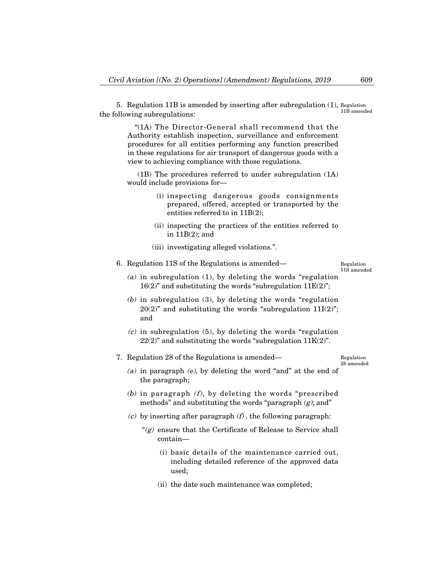5. Regulation 11B is amended by inserting after subregulation (1), Regulation the following subregulations: 11B amended

"(1A) The Director-General shall recommend that the Authority establish inspection, surveillance and enforcement procedures for all entities performing any function prescribed in these regulations for air transport of dangerous goods with a view to achieving compliance with those regulations.

(1B) The procedures referred to under subregulation (1A) would include provisions for-

- (i) inspecting dangerous goods consignments prepared, offered, accepted or transported by the entities referred to in 11B(2);
- (ii) inspecting the practices of the entities referred to in 11B(2); and
- (iii) investigating alleged violations.".

6. Regulation 11S of the Regulations is amended– Regulation

11S amended

- (a) in subregulation  $(1)$ , by deleting the words "regulation"  $16(2)$ " and substituting the words "subregulation  $11E(2)$ ";
- (b) in subregulation (3), by deleting the words "regulation  $20(2)$ " and substituting the words "subregulation  $11I(2)$ "; and
- $(c)$  in subregulation (5), by deleting the words "regulation"  $22(2)$ " and substituting the words "subregulation  $11K(2)$ ".

7. Regulation 28 of the Regulations is amended–

Regulation 28 amended

- (a) in paragraph (e), by deleting the word "and" at the end of the paragraph;
- (b) in paragraph  $(f)$ , by deleting the words "prescribed" methods" and substituting the words "paragraph  $(g)$ ; and"
- (c) by inserting after paragraph  $(f)$ , the following paragraph:
	- " $(g)$  ensure that the Certificate of Release to Service shall contain–
		- (i) basic details of the maintenance carried out, including detailed reference of the approved data used;
		- (ii) the date such maintenance was completed;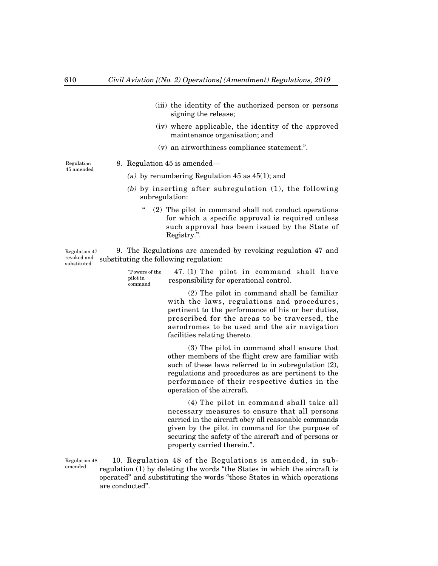- (iii) the identity of the authorized person or persons signing the release;
- (iv) where applicable, the identity of the approved maintenance organisation; and
- (v) an airworthiness compliance statement.".

Regulation 45 amended 8. Regulation 45 is amended–

- (a) by renumbering Regulation 45 as 45(1); and
- (b) by inserting after subregulation (1), the following subregulation:
	- " (2) The pilot in command shall not conduct operations for which a specific approval is required unless such approval has been issued by the State of Registry.".

9. The Regulations are amended by revoking regulation 47 and substituting the following regulation: Regulation 47 revoked and substituted

| "Powers of the<br>pilot in<br>command | 47. (1) The pilot in command shall have<br>responsibility for operational control. |
|---------------------------------------|------------------------------------------------------------------------------------|
|                                       |                                                                                    |

(2) The pilot in command shall be familiar with the laws, regulations and procedures, pertinent to the performance of his or her duties, prescribed for the areas to be traversed, the aerodromes to be used and the air navigation facilities relating thereto.

(3) The pilot in command shall ensure that other members of the flight crew are familiar with such of these laws referred to in subregulation (2), regulations and procedures as are pertinent to the performance of their respective duties in the operation of the aircraft.

(4) The pilot in command shall take all necessary measures to ensure that all persons carried in the aircraft obey all reasonable commands given by the pilot in command for the purpose of securing the safety of the aircraft and of persons or property carried therein.".

10. Regulation 48 of the Regulations is amended, in subregulation (1) by deleting the words "the States in which the aircraft is operated" and substituting the words "those States in which operations are conducted". Regulation 48 amended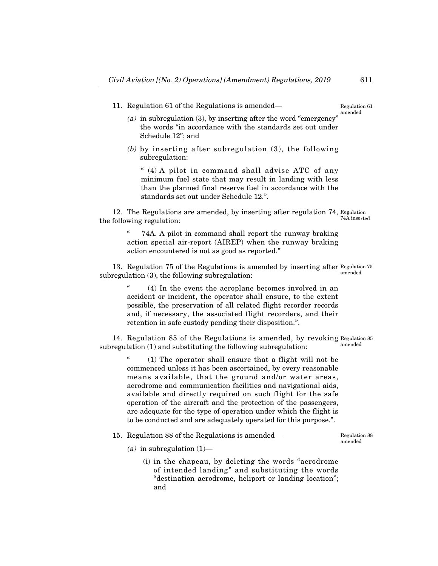11. Regulation 61 of the Regulations is amended–

# (a) in subregulation  $(3)$ , by inserting after the word "emergency" the words "in accordance with the standards set out under Schedule 12"; and

(b) by inserting after subregulation (3), the following subregulation:

" (4) A pilot in command shall advise ATC of any minimum fuel state that may result in landing with less than the planned final reserve fuel in accordance with the standards set out under Schedule 12.".

12. The Regulations are amended, by inserting after regulation 74, Regulation the following regulation: 74A inserted

> 74A. A pilot in command shall report the runway braking action special air-report (AIREP) when the runway braking action encountered is not as good as reported."

13. Regulation 75 of the Regulations is amended by inserting after Regulation 75 subregulation (3), the following subregulation: amended

(4) In the event the aeroplane becomes involved in an accident or incident, the operator shall ensure, to the extent possible, the preservation of all related flight recorder records and, if necessary, the associated flight recorders, and their retention in safe custody pending their disposition.".

14. Regulation 85 of the Regulations is amended, by revoking Regulation 85 subregulation (1) and substituting the following subregulation: amended

> $(1)$  The operator shall ensure that a flight will not be commenced unless it has been ascertained, by every reasonable means available, that the ground and/or water areas, aerodrome and communication facilities and navigational aids, available and directly required on such flight for the safe operation of the aircraft and the protection of the passengers, are adequate for the type of operation under which the flight is to be conducted and are adequately operated for this purpose.".

15. Regulation 88 of the Regulations is amended–

Regulation 88 amended

- (a) in subregulation  $(1)$ 
	- (i) in the chapeau, by deleting the words "aerodrome of intended landing" and substituting the words "destination aerodrome, heliport or landing location"; and

Regulation 61 amended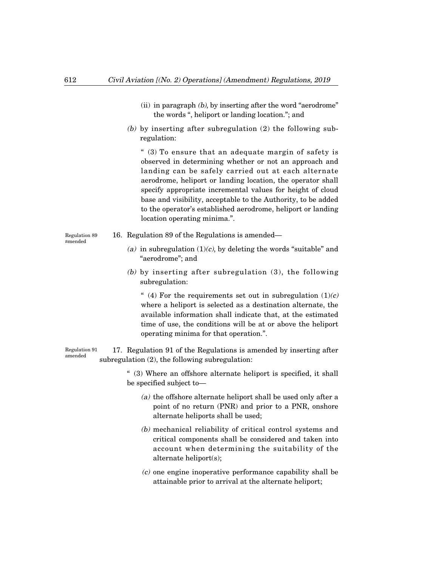- (ii) in paragraph  $(b)$ , by inserting after the word "aerodrome" the words ", heliport or landing location."; and
- (b) by inserting after subregulation (2) the following subregulation:

" (3) To ensure that an adequate margin of safety is observed in determining whether or not an approach and landing can be safely carried out at each alternate aerodrome, heliport or landing location, the operator shall specify appropriate incremental values for height of cloud base and visibility, acceptable to the Authority, to be added to the operator's established aerodrome, heliport or landing location operating minima.".

- Regulation 89 amended
- 16. Regulation 89 of the Regulations is amended–
	- (a) in subregulation  $(1)(c)$ , by deleting the words "suitable" and "aerodrome"; and
	- (b) by inserting after subregulation (3), the following subregulation:

" (4) For the requirements set out in subregulation  $(1)(c)$ where a heliport is selected as a destination alternate, the available information shall indicate that, at the estimated time of use, the conditions will be at or above the heliport operating minima for that operation.".

17. Regulation 91 of the Regulations is amended by inserting after subregulation (2), the following subregulation: Regulation 91 amended

> " (3) Where an offshore alternate heliport is specified, it shall be specified subject to–

- (a) the offshore alternate heliport shall be used only after a point of no return (PNR) and prior to a PNR, onshore alternate heliports shall be used;
- (b) mechanical reliability of critical control systems and critical components shall be considered and taken into account when determining the suitability of the alternate heliport(s);
- (c) one engine inoperative performance capability shall be attainable prior to arrival at the alternate heliport;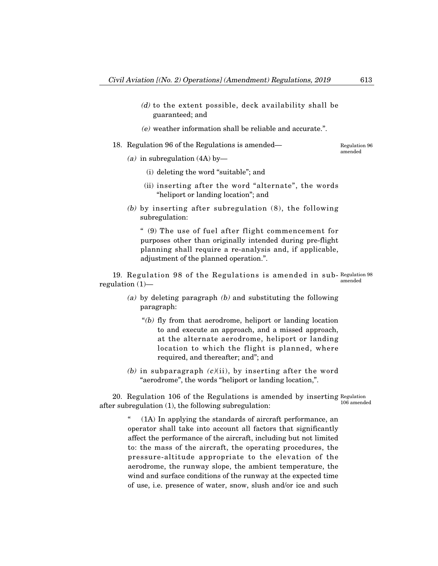- (d) to the extent possible, deck availability shall be guaranteed; and
- (e) weather information shall be reliable and accurate.".
- 18. Regulation 96 of the Regulations is amended–

Regulation 96 amended

- (a) in subregulation  $(4A)$  by-
	- (i) deleting the word "suitable"; and
	- (ii) inserting after the word "alternate", the words "heliport or landing location"; and
- (b) by inserting after subregulation (8), the following subregulation:

" (9) The use of fuel after flight commencement for purposes other than originally intended during pre-flight planning shall require a re-analysis and, if applicable, adjustment of the planned operation.".

19. Regulation 98 of the Regulations is amended in sub-Regulation 98 regulation  $(1)$  amended

- (a) by deleting paragraph  $(b)$  and substituting the following paragraph:
	- " $(b)$  fly from that aerodrome, heliport or landing location to and execute an approach, and a missed approach, at the alternate aerodrome, heliport or landing location to which the flight is planned, where required, and thereafter; and"; and
- (b) in subparagraph  $(c)(ii)$ , by inserting after the word "aerodrome", the words "heliport or landing location,".

20. Regulation 106 of the Regulations is amended by inserting Regulation after subregulation (1), the following subregulation: 106 amended

> $(1)$  In applying the standards of aircraft performance, an operator shall take into account all factors that significantly affect the performance of the aircraft, including but not limited to: the mass of the aircraft, the operating procedures, the pressure-altitude appropriate to the elevation of the aerodrome, the runway slope, the ambient temperature, the wind and surface conditions of the runway at the expected time of use, i.e. presence of water, snow, slush and/or ice and such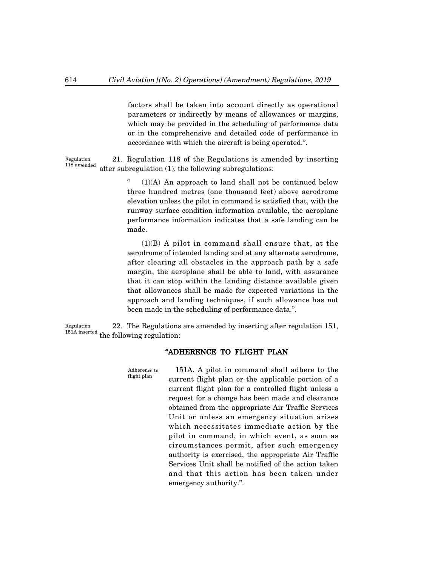factors shall be taken into account directly as operational parameters or indirectly by means of allowances or margins, which may be provided in the scheduling of performance data or in the comprehensive and detailed code of performance in accordance with which the aircraft is being operated.".

21. Regulation 118 of the Regulations is amended by inserting after subregulation (1), the following subregulations: Regulation 118 amended

> $(1)(A)$  An approach to land shall not be continued below three hundred metres (one thousand feet) above aerodrome elevation unless the pilot in command is satisfied that, with the runway surface condition information available, the aeroplane performance information indicates that a safe landing can be made.

> (1)(B) A pilot in command shall ensure that, at the aerodrome of intended landing and at any alternate aerodrome, after clearing all obstacles in the approach path by a safe margin, the aeroplane shall be able to land, with assurance that it can stop within the landing distance available given that allowances shall be made for expected variations in the approach and landing techniques, if such allowance has not been made in the scheduling of performance data.".

22. The Regulations are amended by inserting after regulation 151,  $^{151A\text{ inserted}}$  the following regulation: Regulation

### "ADHERENCE TO FLIGHT PLAN

151A. A pilot in command shall adhere to the current flight plan or the applicable portion of a current flight plan for a controlled flight unless a request for a change has been made and clearance obtained from the appropriate Air Traffic Services Unit or unless an emergency situation arises which necessitates immediate action by the pilot in command, in which event, as soon as circumstances permit, after such emergency authority is exercised, the appropriate Air Traffic Services Unit shall be notified of the action taken and that this action has been taken under emergency authority.". Adherence to flight plan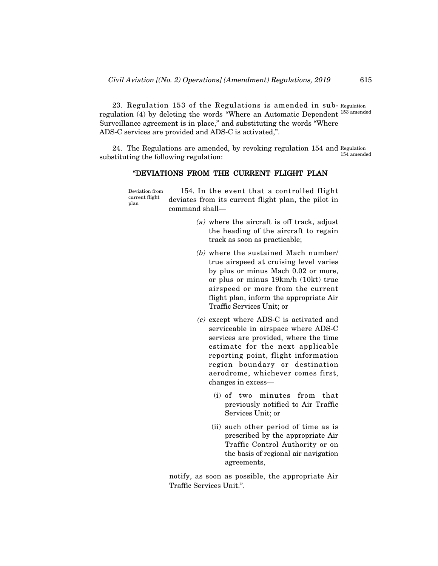23. Regulation 153 of the Regulations is amended in sub-Regulation regulation (4) by deleting the words "Where an Automatic Dependent <sup>153 amended</sup> Surveillance agreement is in place," and substituting the words "Where ADS-C services are provided and ADS-C is activated,".

24. The Regulations are amended, by revoking regulation 154 and Regulation substituting the following regulation: 154 amended

# "DEVIATIONS FROM THE CURRENT FLIGHT PLAN

154. In the event that a controlled flight deviates from its current flight plan, the pilot in command shall– Deviation from current flight plan

- (a) where the aircraft is off track, adjust the heading of the aircraft to regain track as soon as practicable;
- (b) where the sustained Mach number/ true airspeed at cruising level varies by plus or minus Mach 0.02 or more, or plus or minus 19km/h (10kt) true airspeed or more from the current flight plan, inform the appropriate Air Traffic Services Unit; or
- (c) except where ADS-C is activated and serviceable in airspace where ADS-C services are provided, where the time estimate for the next applicable reporting point, flight information region boundary or destination aerodrome, whichever comes first, changes in excess–
	- (i) of two minutes from that previously notified to Air Traffic Services Unit; or
	- (ii) such other period of time as is prescribed by the appropriate Air Traffic Control Authority or on the basis of regional air navigation agreements,

notify, as soon as possible, the appropriate Air Traffic Services Unit.".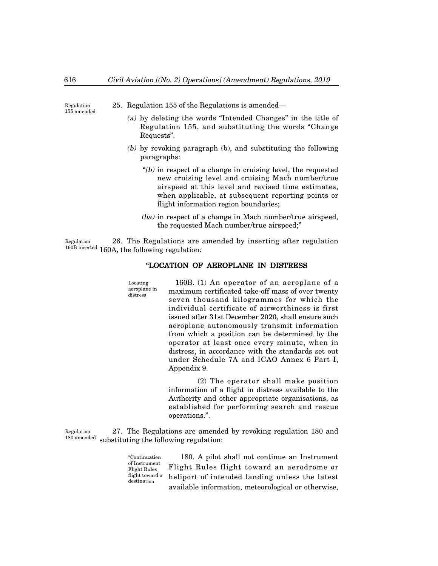Regulation 155 amended 25. Regulation 155 of the Regulations is amended–

- (a) by deleting the words "Intended Changes" in the title of Regulation 155, and substituting the words "Change Requests".
- (b) by revoking paragraph (b), and substituting the following paragraphs:
	- $f(b)$  in respect of a change in cruising level, the requested new cruising level and cruising Mach number/true airspeed at this level and revised time estimates, when applicable, at subsequent reporting points or flight information region boundaries;
	- (ba) in respect of a change in Mach number/true airspeed, the requested Mach number/true airspeed;"

26. The Regulations are amended by inserting after regulation <sup>160B inserted</sup> 160A, the following regulation: Regulation

distress

# "LOCATION OF AEROPLANE IN DISTRESS

160B. (1) An operator of an aeroplane of a maximum certificated take-off mass of over twenty seven thousand kilogrammes for which the individual certificate of airworthiness is first issued after 31st December 2020, shall ensure such aeroplane autonomously transmit information from which a position can be determined by the operator at least once every minute, when in distress, in accordance with the standards set out under Schedule 7A and ICAO Annex 6 Part I, Appendix 9. Locating aeroplane in

> (2) The operator shall make position information of a flight in distress available to the Authority and other appropriate organisations, as established for performing search and rescue operations.".

27. The Regulations are amended by revoking regulation 180 and substituting the following regulation: Regulation 180 amended

> 180. A pilot shall not continue an Instrument Flight Rules flight toward an aerodrome or heliport of intended landing unless the latest available information, meteorological or otherwise, "Continuation of Instrument Flight Rules flight toward a destination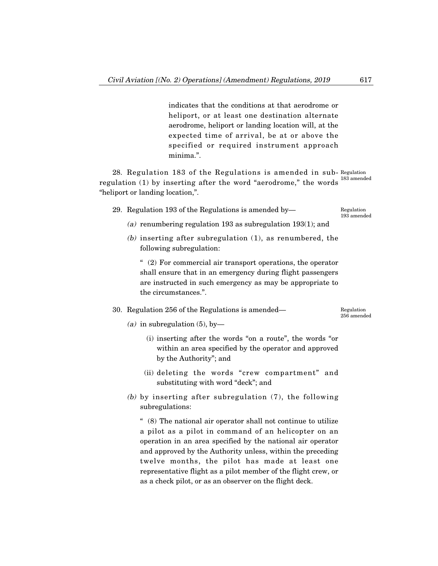indicates that the conditions at that aerodrome or heliport, or at least one destination alternate aerodrome, heliport or landing location will, at the expected time of arrival, be at or above the specified or required instrument approach minima.".

28. Regulation 183 of the Regulations is amended in sub-Regulation regulation (1) by inserting after the word "aerodrome," the words  $^{183\text{ amended}}$ "heliport or landing location,".

29. Regulation 193 of the Regulations is amended by–

Regulation 193 amended

- (a) renumbering regulation 193 as subregulation 193(1); and
- (b) inserting after subregulation (1), as renumbered, the following subregulation:

" (2) For commercial air transport operations, the operator shall ensure that in an emergency during flight passengers are instructed in such emergency as may be appropriate to the circumstances.".

30. Regulation 256 of the Regulations is amended–

Regulation 256 amended

- (a) in subregulation  $(5)$ , by-
	- (i) inserting after the words "on a route", the words "or within an area specified by the operator and approved by the Authority"; and
	- (ii) deleting the words "crew compartment" and substituting with word "deck"; and
- (b) by inserting after subregulation (7), the following subregulations:

" (8) The national air operator shall not continue to utilize a pilot as a pilot in command of an helicopter on an operation in an area specified by the national air operator and approved by the Authority unless, within the preceding twelve months, the pilot has made at least one representative flight as a pilot member of the flight crew, or as a check pilot, or as an observer on the flight deck.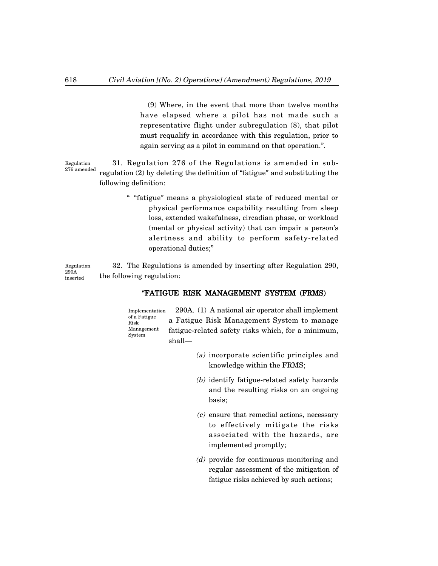(9) Where, in the event that more than twelve months have elapsed where a pilot has not made such a representative flight under subregulation (8), that pilot must requalify in accordance with this regulation, prior to again serving as a pilot in command on that operation.".

31. Regulation 276 of the Regulations is amended in subregulation (2) by deleting the definition of "fatigue" and substituting the following definition: Regulation 276 amended

> " "fatigue" means a physiological state of reduced mental or physical performance capability resulting from sleep loss, extended wakefulness, circadian phase, or workload (mental or physical activity) that can impair a person's alertness and ability to perform safety-related operational duties;"

32. The Regulations is amended by inserting after Regulation 290, the following regulation: Regulation 290A inserted

# "FATIGUE RISK MANAGEMENT SYSTEM (FRMS)

290A. (1) A national air operator shall implement a Fatigue Risk Management System to manage fatigue-related safety risks which, for a minimum, shall– Implementation of a Fatigue Risk Management System

- (a) incorporate scientific principles and knowledge within the FRMS;
- (b) identify fatigue-related safety hazards and the resulting risks on an ongoing basis;
- (c) ensure that remedial actions, necessary to effectively mitigate the risks associated with the hazards, are implemented promptly;
- (d) provide for continuous monitoring and regular assessment of the mitigation of fatigue risks achieved by such actions;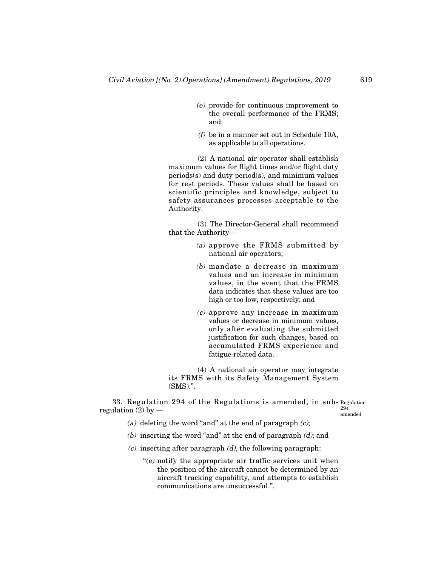- (e) provide for continuous improvement to the overall performance of the FRMS; and
- (f) be in a manner set out in Schedule 10A, as applicable to all operations.

(2) A national air operator shall establish maximum values for flight times and/or flight duty periods(s) and duty period(s), and minimum values for rest periods. These values shall be based on scientific principles and knowledge, subject to safety assurances processes acceptable to the Authority.

(3) The Director-General shall recommend that the Authority–

- (a) approve the FRMS submitted by national air operators;
- (b) mandate a decrease in maximum values and an increase in minimum values, in the event that the FRMS data indicates that these values are too high or too low, respectively; and
- $(c)$  approve any increase in maximum values or decrease in minimum values, only after evaluating the submitted justification for such changes, based on accumulated FRMS experience and fatigue-related data.

(4) A national air operator may integrate its FRMS with its Safety Management System (SMS).".

33. Regulation 294 of the Regulations is amended, in sub-Regulation regulation  $(2)$  by  $-$ 294

amended

- (a) deleting the word "and" at the end of paragraph  $(c)$ ;
- (b) inserting the word "and" at the end of paragraph  $(d)$ ; and
- $(c)$  inserting after paragraph  $(d)$ , the following paragraph:
	- " $(e)$  notify the appropriate air traffic services unit when the position of the aircraft cannot be determined by an aircraft tracking capability, and attempts to establish communications are unsuccessful.".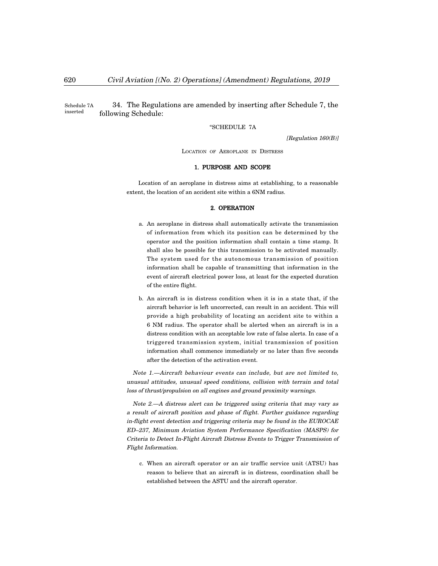34. The Regulations are amended by inserting after Schedule 7, the following Schedule: Schedule 7A inserted

"SCHEDULE 7A

[Regulation 160(B)]

LOCATION OF AEROPLANE IN DISTRESS

### 1. PURPOSE AND SCOPE

Location of an aeroplane in distress aims at establishing, to a reasonable extent, the location of an accident site within a 6NM radius.

### 2. OPERATION

- a. An aeroplane in distress shall automatically activate the transmission of information from which its position can be determined by the operator and the position information shall contain a time stamp. It shall also be possible for this transmission to be activated manually. The system used for the autonomous transmission of position information shall be capable of transmitting that information in the event of aircraft electrical power loss, at least for the expected duration of the entire flight.
- b. An aircraft is in distress condition when it is in a state that, if the aircraft behavior is left uncorrected, can result in an accident. This will provide a high probability of locating an accident site to within a 6 NM radius. The operator shall be alerted when an aircraft is in a distress condition with an acceptable low rate of false alerts. In case of a triggered transmission system, initial transmission of position information shall commence immediately or no later than five seconds after the detection of the activation event.

Note 1.–Aircraft behaviour events can include, but are not limited to, unusual attitudes, unusual speed conditions, collision with terrain and total loss of thrust/propulsion on all engines and ground proximity warnings.

Note 2.–A distress alert can be triggered using criteria that may vary as a result of aircraft position and phase of flight. Further guidance regarding in-flight event detection and triggering criteria may be found in the EUROCAE ED—237, Minimum Aviation System Performance Specification (MASPS) for Criteria to Detect In-Flight Aircraft Distress Events to Trigger Transmission of Flight Information.

c. When an aircraft operator or an air traffic service unit (ATSU) has reason to believe that an aircraft is in distress, coordination shall be established between the ASTU and the aircraft operator.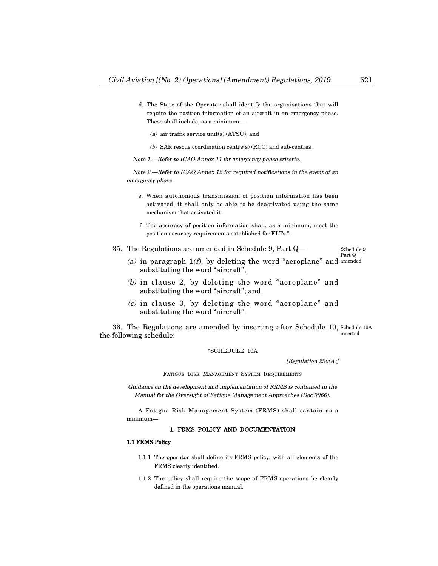- d. The State of the Operator shall identify the organisations that will require the position information of an aircraft in an emergency phase. These shall include, as a minimum–
	- (a) air traffic service unit(s) (ATSU); and
	- (b) SAR rescue coordination centre(s) (RCC) and sub-centres.

Note 1.–Refer to ICAO Annex 11 for emergency phase criteria.

Note 2.–Refer to ICAO Annex 12 for required notifications in the event of an emergency phase.

- e. When autonomous transmission of position information has been activated, it shall only be able to be deactivated using the same mechanism that activated it.
- f. The accuracy of position information shall, as a minimum, meet the position accuracy requirements established for ELTs.".
- 35. The Regulations are amended in Schedule 9, Part Q–

Schedule 9 Part Q

- (a) in paragraph  $1(f)$ , by deleting the word "aeroplane" and amended substituting the word "aircraft";
- (b) in clause 2, by deleting the word "aeroplane" and substituting the word "aircraft"; and
- (c) in clause 3, by deleting the word "aeroplane" and substituting the word "aircraft".

36. The Regulations are amended by inserting after Schedule 10, Schedule 10A the following schedule: inserted

"SCHEDULE 10A

[Regulation 290(A)]

FATIGUE RISK MANAGEMENT SYSTEM REQUIREMENTS

Guidance on the development and implementation of FRMS is contained in the Manual for the Oversight of Fatigue Management Approaches (Doc 9966).

A Fatigue Risk Management System (FRMS) shall contain as a minimum–

## 1. FRMS POLICY AND DOCUMENTATION

### 1.1 FRMS Policy

- 1.1.1 The operator shall define its FRMS policy, with all elements of the FRMS clearly identified.
- 1.1.2 The policy shall require the scope of FRMS operations be clearly defined in the operations manual.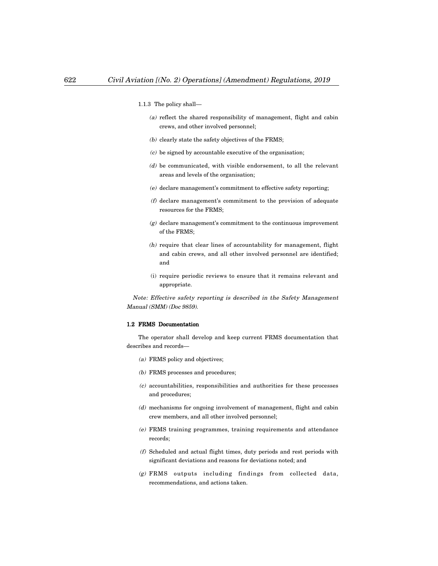- 1.1.3 The policy shall–
	- (a) reflect the shared responsibility of management, flight and cabin crews, and other involved personnel;
	- (b) clearly state the safety objectives of the FRMS;
	- $(c)$  be signed by accountable executive of the organisation;
	- (d) be communicated, with visible endorsement, to all the relevant areas and levels of the organisation;
	- (e) declare management's commitment to effective safety reporting;
	- (f) declare management's commitment to the provision of adequate resources for the FRMS;
	- $(g)$  declare management's commitment to the continuous improvement of the FRMS;
	- (h) require that clear lines of accountability for management, flight and cabin crews, and all other involved personnel are identified; and
	- (i) require periodic reviews to ensure that it remains relevant and appropriate.

Note: Effective safety reporting is described in the Safety Management Manual (SMM) (Doc 9859).

## 1.2 FRMS Documentation

The operator shall develop and keep current FRMS documentation that describes and records–

- (a) FRMS policy and objectives;
- (b) FRMS processes and procedures;
- (c) accountabilities, responsibilities and authorities for these processes and procedures;
- (d) mechanisms for ongoing involvement of management, flight and cabin crew members, and all other involved personnel;
- (e) FRMS training programmes, training requirements and attendance records;
- (f) Scheduled and actual flight times, duty periods and rest periods with significant deviations and reasons for deviations noted; and
- (g) FRMS outputs including findings from collected data, recommendations, and actions taken.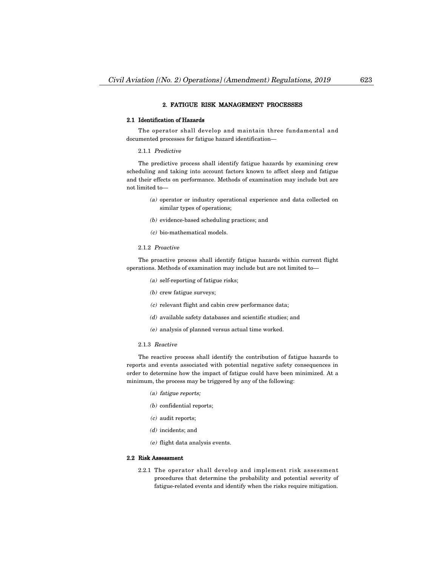#### 2. FATIGUE RISK MANAGEMENT PROCESSES

#### 2.1 Identification of Hazards

The operator shall develop and maintain three fundamental and documented processes for fatigue hazard identification–

#### 2.1.1 Predictive

The predictive process shall identify fatigue hazards by examining crew scheduling and taking into account factors known to affect sleep and fatigue and their effects on performance. Methods of examination may include but are not limited to–

- (a) operator or industry operational experience and data collected on similar types of operations;
- (b) evidence-based scheduling practices; and
- (c) bio-mathematical models.

### 2.1.2 Proactive

The proactive process shall identify fatigue hazards within current flight operations. Methods of examination may include but are not limited to–

- (a) self-reporting of fatigue risks;
- (b) crew fatigue surveys;
- (c) relevant flight and cabin crew performance data;
- (d) available safety databases and scientific studies; and
- (e) analysis of planned versus actual time worked.

#### 2.1.3 Reactive

The reactive process shall identify the contribution of fatigue hazards to reports and events associated with potential negative safety consequences in order to determine how the impact of fatigue could have been minimized. At a minimum, the process may be triggered by any of the following:

- (a) fatigue reports;
- (b) confidential reports;
- (c) audit reports;
- (d) incidents; and
- (e) flight data analysis events.

#### 2.2 Risk Assessment

2.2.1 The operator shall develop and implement risk assessment procedures that determine the probability and potential severity of fatigue-related events and identify when the risks require mitigation.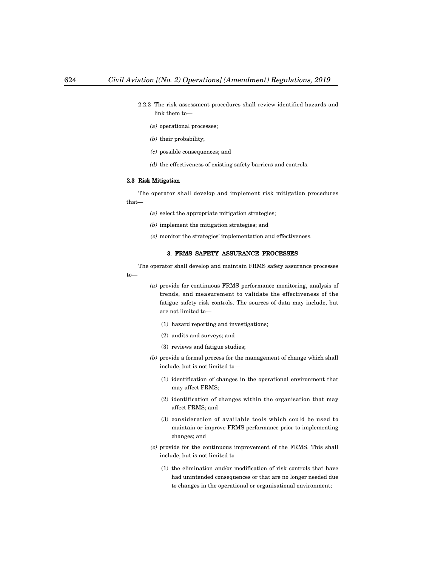- 2.2.2 The risk assessment procedures shall review identified hazards and link them to–
	- (a) operational processes;
	- (b) their probability;
	- (c) possible consequences; and
	- $(d)$  the effectiveness of existing safety barriers and controls.

#### 2.3 Risk Mitigation

The operator shall develop and implement risk mitigation procedures that–

- (a) select the appropriate mitigation strategies;
- (b) implement the mitigation strategies; and
- (c) monitor the strategies' implementation and effectiveness.

# 3. FRMS SAFETY ASSURANCE PROCESSES

The operator shall develop and maintain FRMS safety assurance processes to–

- (a) provide for continuous FRMS performance monitoring, analysis of trends, and measurement to validate the effectiveness of the fatigue safety risk controls. The sources of data may include, but are not limited to–
	- (1) hazard reporting and investigations;
	- (2) audits and surveys; and
	- (3) reviews and fatigue studies;
- (b) provide a formal process for the management of change which shall include, but is not limited to–
	- (1) identification of changes in the operational environment that may affect FRMS;
	- (2) identification of changes within the organisation that may affect FRMS; and
	- (3) consideration of available tools which could be used to maintain or improve FRMS performance prior to implementing changes; and
- (c) provide for the continuous improvement of the FRMS. This shall include, but is not limited to–
	- (1) the elimination and/or modification of risk controls that have had unintended consequences or that are no longer needed due to changes in the operational or organisational environment;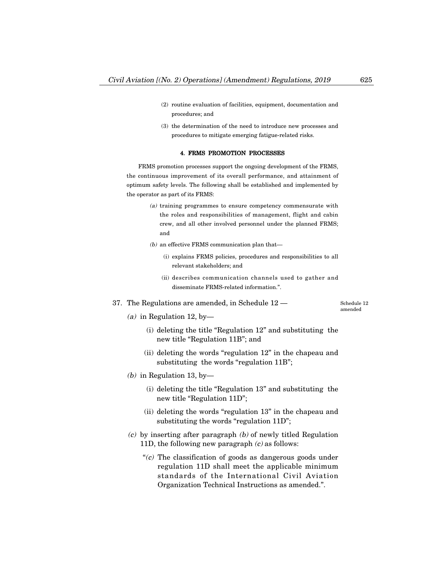- (2) routine evaluation of facilities, equipment, documentation and procedures; and
- (3) the determination of the need to introduce new processes and procedures to mitigate emerging fatigue-related risks.

## 4. FRMS PROMOTION PROCESSES

FRMS promotion processes support the ongoing development of the FRMS, the continuous improvement of its overall performance, and attainment of optimum safety levels. The following shall be established and implemented by the operator as part of its FRMS:

- (a) training programmes to ensure competency commensurate with the roles and responsibilities of management, flight and cabin crew, and all other involved personnel under the planned FRMS; and
- $(b)$  an effective FRMS communication plan that-
	- (i) explains FRMS policies, procedures and responsibilities to all relevant stakeholders; and
	- (ii) describes communication channels used to gather and disseminate FRMS-related information.".
- 37. The Regulations are amended, in Schedule 12 –

Schedule 12 amended

- (a) in Regulation 12, by-
	- (i) deleting the title "Regulation 12" and substituting the new title "Regulation 11B"; and
	- (ii) deleting the words "regulation 12" in the chapeau and substituting the words "regulation 11B";
- (b) in Regulation 13, by-
	- (i) deleting the title "Regulation 13" and substituting the new title "Regulation 11D";
	- (ii) deleting the words "regulation 13" in the chapeau and substituting the words "regulation 11D";
- $(c)$  by inserting after paragraph  $(b)$  of newly titled Regulation 11D, the following new paragraph  $(c)$  as follows:
	- " $(c)$  The classification of goods as dangerous goods under regulation 11D shall meet the applicable minimum standards of the International Civil Aviation Organization Technical Instructions as amended.".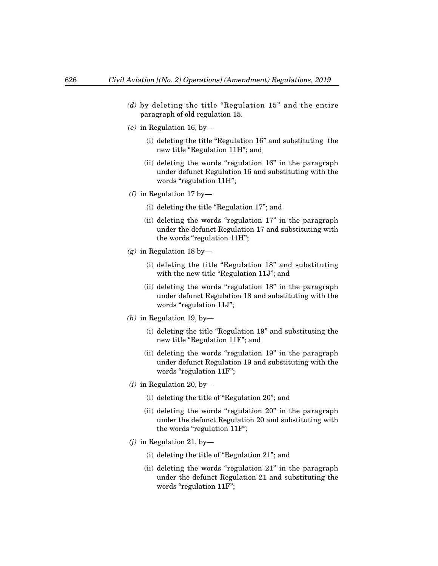- (d) by deleting the title "Regulation 15" and the entire paragraph of old regulation 15.
- $(e)$  in Regulation 16, by-
	- (i) deleting the title "Regulation 16" and substituting the new title "Regulation 11H"; and
	- (ii) deleting the words "regulation 16" in the paragraph under defunct Regulation 16 and substituting with the words "regulation 11H";
- (f) in Regulation 17 by-
	- (i) deleting the title "Regulation 17"; and
	- (ii) deleting the words "regulation 17" in the paragraph under the defunct Regulation 17 and substituting with the words "regulation 11H";
- (g) in Regulation 18 by-
	- (i) deleting the title "Regulation 18" and substituting with the new title "Regulation 11J"; and
	- (ii) deleting the words "regulation 18" in the paragraph under defunct Regulation 18 and substituting with the words "regulation 11J";
- (*h*) in Regulation 19, by-
	- (i) deleting the title "Regulation 19" and substituting the new title "Regulation 11F"; and
	- (ii) deleting the words "regulation 19" in the paragraph under defunct Regulation 19 and substituting with the words "regulation 11F";
- $(i)$  in Regulation 20, by-
	- (i) deleting the title of "Regulation 20"; and
	- (ii) deleting the words "regulation 20" in the paragraph under the defunct Regulation 20 and substituting with the words "regulation 11F";
- $(j)$  in Regulation 21, by-
	- (i) deleting the title of "Regulation 21"; and
	- (ii) deleting the words "regulation 21" in the paragraph under the defunct Regulation 21 and substituting the words "regulation 11F";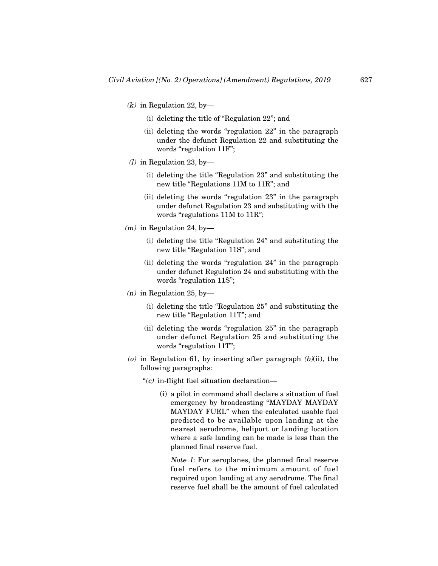- $(k)$  in Regulation 22, by-
	- (i) deleting the title of "Regulation 22"; and
	- (ii) deleting the words "regulation 22" in the paragraph under the defunct Regulation 22 and substituting the words "regulation 11F";
- (1) in Regulation 23, by-
	- (i) deleting the title "Regulation 23" and substituting the new title "Regulations 11M to 11R"; and
	- (ii) deleting the words "regulation 23" in the paragraph under defunct Regulation 23 and substituting with the words "regulations 11M to 11R";
- $(m)$  in Regulation 24, by-
	- (i) deleting the title "Regulation 24" and substituting the new title "Regulation 11S"; and
	- (ii) deleting the words "regulation 24" in the paragraph under defunct Regulation 24 and substituting with the words "regulation 11S";
- $(n)$  in Regulation 25, by-
	- (i) deleting the title "Regulation 25" and substituting the new title "Regulation 11T"; and
	- (ii) deleting the words "regulation 25" in the paragraph under defunct Regulation 25 and substituting the words "regulation 11T";
- (o) in Regulation 61, by inserting after paragraph  $(b)(ii)$ , the following paragraphs:
	- " $(c)$  in-flight fuel situation declaration—
		- (i) a pilot in command shall declare a situation of fuel emergency by broadcasting "MAYDAY MAYDAY MAYDAY FUEL" when the calculated usable fuel predicted to be available upon landing at the nearest aerodrome, heliport or landing location where a safe landing can be made is less than the planned final reserve fuel.

Note 1: For aeroplanes, the planned final reserve fuel refers to the minimum amount of fuel required upon landing at any aerodrome. The final reserve fuel shall be the amount of fuel calculated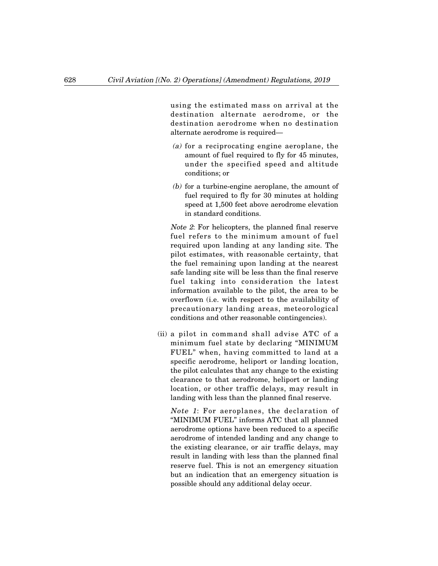using the estimated mass on arrival at the destination alternate aerodrome, or the destination aerodrome when no destination alternate aerodrome is required–

- (a) for a reciprocating engine aeroplane, the amount of fuel required to fly for 45 minutes, under the specified speed and altitude conditions; or
- (b) for a turbine-engine aeroplane, the amount of fuel required to fly for 30 minutes at holding speed at 1,500 feet above aerodrome elevation in standard conditions.

Note 2: For helicopters, the planned final reserve fuel refers to the minimum amount of fuel required upon landing at any landing site. The pilot estimates, with reasonable certainty, that the fuel remaining upon landing at the nearest safe landing site will be less than the final reserve fuel taking into consideration the latest information available to the pilot, the area to be overflown (i.e. with respect to the availability of precautionary landing areas, meteorological conditions and other reasonable contingencies).

(ii) a pilot in command shall advise ATC of a minimum fuel state by declaring "MINIMUM FUEL" when, having committed to land at a specific aerodrome, heliport or landing location, the pilot calculates that any change to the existing clearance to that aerodrome, heliport or landing location, or other traffic delays, may result in landing with less than the planned final reserve.

Note 1: For aeroplanes, the declaration of "MINIMUM FUEL" informs ATC that all planned aerodrome options have been reduced to a specific aerodrome of intended landing and any change to the existing clearance, or air traffic delays, may result in landing with less than the planned final reserve fuel. This is not an emergency situation but an indication that an emergency situation is possible should any additional delay occur.